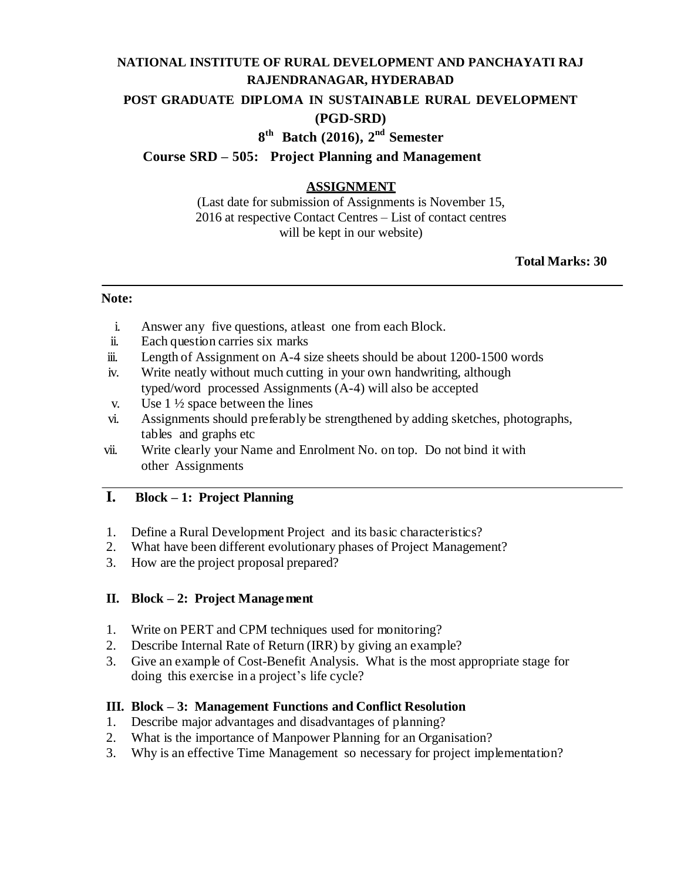# **NATIONAL INSTITUTE OF RURAL DEVELOPMENT AND PANCHAYATI RAJ RAJENDRANAGAR, HYDERABAD POST GRADUATE DIPLOMA IN SUSTAINABLE RURAL DEVELOPMENT (PGD-SRD)**

# **8 th Batch (2016), 2 nd Semester**

### **Course SRD – 505: Project Planning and Management**

# **ASSIGNMENT**

(Last date for submission of Assignments is November 15, 2016 at respective Contact Centres – List of contact centres will be kept in our website)

#### **Total Marks: 30**

#### **Note:**

- i. Answer any five questions, atleast one from each Block.
- ii. Each question carries six marks
- iii. Length of Assignment on A-4 size sheets should be about 1200-1500 words
- iv. Write neatly without much cutting in your own handwriting, although typed/word processed Assignments (A-4) will also be accepted
- v. Use  $1\frac{1}{2}$  space between the lines
- vi. Assignments should preferably be strengthened by adding sketches, photographs, tables and graphs etc
- vii. Write clearly your Name and Enrolment No. on top. Do not bind it with other Assignments

# **I. Block – 1: Project Planning**

- 1. Define a Rural Development Project and its basic characteristics?
- 2. What have been different evolutionary phases of Project Management?
- 3. How are the project proposal prepared?

### **II. Block – 2: Project Management**

- 1. Write on PERT and CPM techniques used for monitoring?
- 2. Describe Internal Rate of Return (IRR) by giving an example?
- 3. Give an example of Cost-Benefit Analysis. What is the most appropriate stage for doing this exercise in a project's life cycle?

### **III. Block – 3: Management Functions and Conflict Resolution**

- 1. Describe major advantages and disadvantages of planning?
- 2. What is the importance of Manpower Planning for an Organisation?
- 3. Why is an effective Time Management so necessary for project implementation?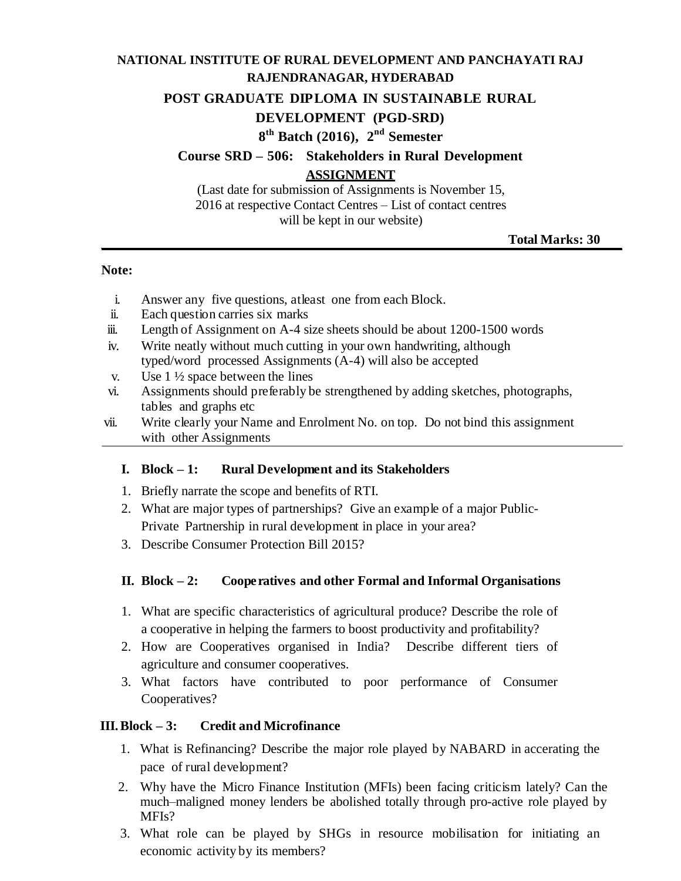# **NATIONAL INSTITUTE OF RURAL DEVELOPMENT AND PANCHAYATI RAJ RAJENDRANAGAR, HYDERABAD**

#### **POST GRADUATE DIPLOMA IN SUSTAINABLE RURAL**

### **DEVELOPMENT (PGD-SRD)**

# **8 th Batch (2016), 2 nd Semester**

**Course SRD – 506: Stakeholders in Rural Development ASSIGNMENT**

(Last date for submission of Assignments is November 15, 2016 at respective Contact Centres – List of contact centres will be kept in our website)

**Total Marks: 30**

#### **Note:**

- i. Answer any five questions, atleast one from each Block.
- ii. Each question carries six marks
- iii. Length of Assignment on A-4 size sheets should be about 1200-1500 words
- iv. Write neatly without much cutting in your own handwriting, although typed/word processed Assignments (A-4) will also be accepted
- v. Use  $1\frac{1}{2}$  space between the lines
- vi. Assignments should preferably be strengthened by adding sketches, photographs, tables and graphs etc
- vii. Write clearly your Name and Enrolment No. on top. Do not bind this assignment with other Assignments

#### **I. Block – 1: Rural Development and its Stakeholders**

- 1. Briefly narrate the scope and benefits of RTI.
- 2. What are major types of partnerships? Give an example of a major Public-Private Partnership in rural development in place in your area?
- 3. Describe Consumer Protection Bill 2015?

### **II. Block – 2: Coope ratives and other Formal and Informal Organisations**

- 1. What are specific characteristics of agricultural produce? Describe the role of a cooperative in helping the farmers to boost productivity and profitability?
- 2. How are Cooperatives organised in India? Describe different tiers of agriculture and consumer cooperatives.
- 3. What factors have contributed to poor performance of Consumer Cooperatives?

#### **III.Block – 3: Credit and Microfinance**

- 1. What is Refinancing? Describe the major role played by NABARD in accerating the pace of rural development?
- 2. Why have the Micro Finance Institution (MFIs) been facing criticism lately? Can the much–maligned money lenders be abolished totally through pro-active role played by MFIs?
- 3. What role can be played by SHGs in resource mobilisation for initiating an economic activity by its members?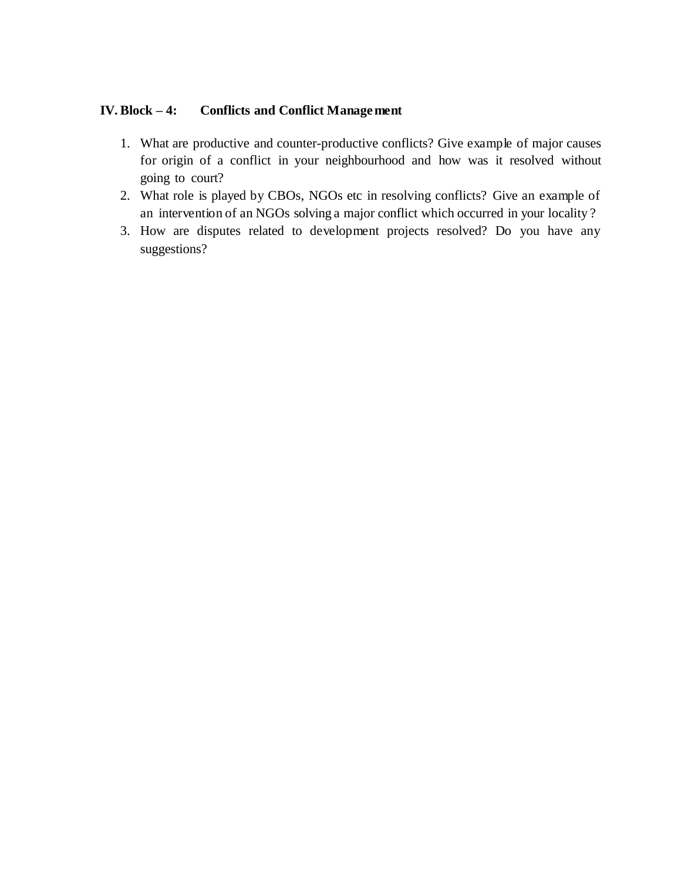### **IV. Block – 4: Conflicts and Conflict Management**

- 1. What are productive and counter-productive conflicts? Give example of major causes for origin of a conflict in your neighbourhood and how was it resolved without going to court?
- 2. What role is played by CBOs, NGOs etc in resolving conflicts? Give an example of an intervention of an NGOs solving a major conflict which occurred in your locality ?
- 3. How are disputes related to development projects resolved? Do you have any suggestions?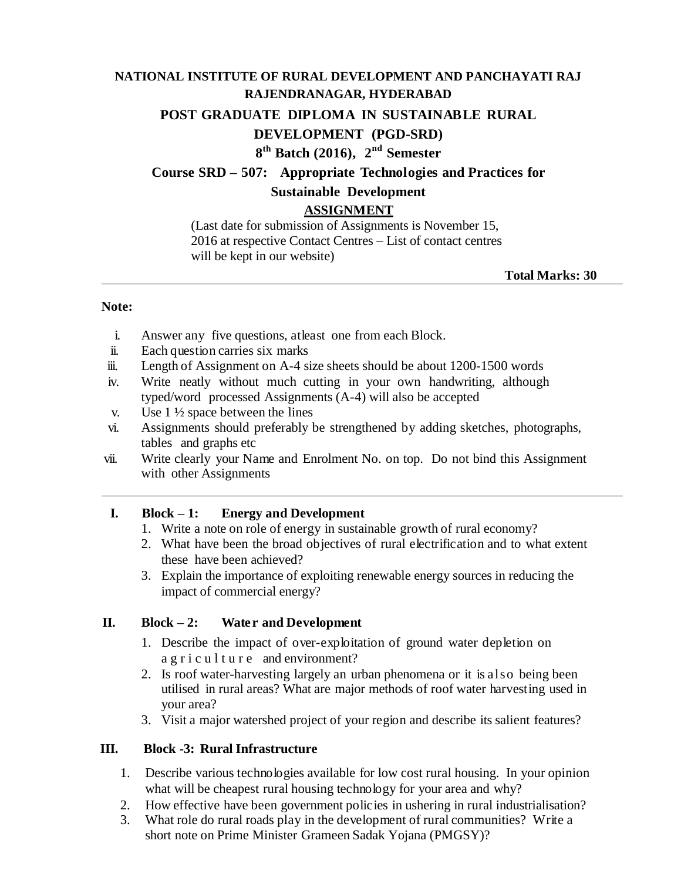# **NATIONAL INSTITUTE OF RURAL DEVELOPMENT AND PANCHAYATI RAJ RAJENDRANAGAR, HYDERABAD**

**POST GRADUATE DIPLOMA IN SUSTAINABLE RURAL**

# **DEVELOPMENT (PGD-SRD)**

# **8 th Batch (2016), 2 nd Semester**

# **Course SRD – 507: Appropriate Technologies and Practices for**

# **Sustainable Development**

# **ASSIGNMENT**

(Last date for submission of Assignments is November 15, 2016 at respective Contact Centres – List of contact centres will be kept in our website)

**Total Marks: 30**

#### **Note:**

- i. Answer any five questions, atleast one from each Block.
- ii. Each question carries six marks
- iii. Length of Assignment on A-4 size sheets should be about 1200-1500 words
- iv. Write neatly without much cutting in your own handwriting, although typed/word processed Assignments (A-4) will also be accepted
- v. Use  $1\frac{1}{2}$  space between the lines
- vi. Assignments should preferably be strengthened by adding sketches, photographs, tables and graphs etc
- vii. Write clearly your Name and Enrolment No. on top. Do not bind this Assignment with other Assignments

# **I. Block – 1: Energy and Development**

- 1. Write a note on role of energy in sustainable growth of rural economy?
- 2. What have been the broad objectives of rural electrification and to what extent these have been achieved?
- 3. Explain the importance of exploiting renewable energy sources in reducing the impact of commercial energy?

# **II. Block – 2: Water and Development**

- 1. Describe the impact of over-exploitation of ground water depletion on a g r i c u l t u r e and environment?
- 2. Is roof water-harvesting largely an urban phenomena or it is also being been utilised in rural areas? What are major methods of roof water harvesting used in your area?
- 3. Visit a major watershed project of your region and describe its salient features?

# **III. Block -3: Rural Infrastructure**

- 1. Describe various technologies available for low cost rural housing. In your opinion what will be cheapest rural housing technology for your area and why?
- 2. How effective have been government policies in ushering in rural industrialisation?
- 3. What role do rural roads play in the development of rural communities? Write a short note on Prime Minister Grameen Sadak Yojana (PMGSY)?